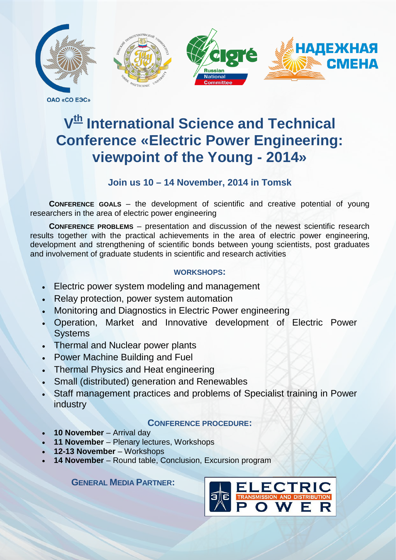

**OAO «CO E3C»** 

# **V<sup>th</sup>** International Science and Technical **Conference «Electric Power Engineering: viewpoint of the Young - 2014»**

# **Join us 10 – 14 November, 2014 in Tomsk**

**CONFERENCE GOALS** – the development of scientific and creative potential of young researchers in the area of electric power engineering

**CONFERENCE PROBLEMS** – presentation and discussion of the newest scientific research results together with the practical achievements in the area of electric power engineering, development and strengthening of scientific bonds between young scientists, post graduates and involvement of graduate students in scientific and research activities

## **WORKSHOPS:**

- Electric power system modeling and management
- Relay protection, power system automation
- Monitoring and Diagnostics in Electric Power engineering
- Operation, Market and Innovative development of Electric Power **Systems**
- Thermal and Nuclear power plants
- Power Machine Building and Fuel
- Thermal Physics and Heat engineering
- Small (distributed) generation and Renewables
- Staff management practices and problems of Specialist training in Power industry

## **CONFERENCE PROCEDURE:**

- **10 November** Arrival day
- **11 November** Plenary lectures, Workshops
- **12-13 November** Workshops
- **14 November** Round table, Conclusion, Excursion program

**GENERAL MEDIA PARTNER:**

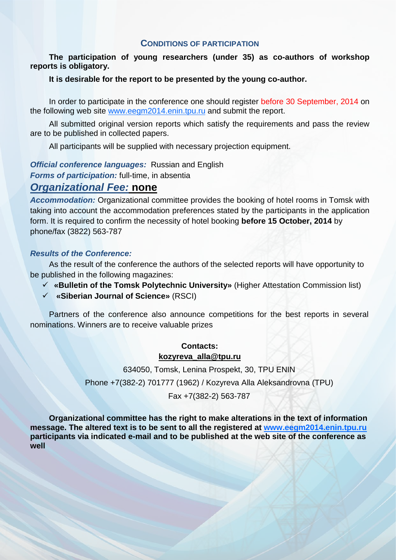#### **CONDITIONS OF PARTICIPATION**

**The participation of young researchers (under 35) as co-authors of workshop reports is obligatory.**

#### **It is desirable for the report to be presented by the young co-author.**

In order to participate in the conference one should register before 30 September, 2014 on the following web site [www.eegm2014.enin.tpu.ru](http://www.eegm2014.enin.tpu.ru/) and submit the report.

All submitted original version reports which satisfy the requirements and pass the review are to be published in collected papers.

All participants will be supplied with necessary projection equipment.

*Official conference languages:* Russian and English

*Forms of participation:* full-time, in absentia

## *Organizational Fee:* **none**

*Accommodation:* Organizational committee provides the booking of hotel rooms in Tomsk with taking into account the accommodation preferences stated by the participants in the application form. It is required to confirm the necessity of hotel booking **before 15 October, 2014** by phone/fax (3822) 563-787

#### *Results of the Conference:*

As the result of the conference the authors of the selected reports will have opportunity to be published in the following magazines:

- **«Bulletin of the Tomsk Polytechnic University»** (Higher Attestation Commission list)
- **«Siberian Journal of Science»** (RSCI)

Partners of the conference also announce competitions for the best reports in several nominations. Winners are to receive valuable prizes

#### **Contacts: [kozyreva\\_alla@tpu.ru](mailto:kozyreva_alla@tpu.ru)**

634050, Tomsk, Lenina Prospekt, 30, TPU ENIN

Phone +7(382-2) 701777 (1962) / Kozyreva Alla Aleksandrovna (TPU)

Fax +7(382-2) 563-787

**Organizational committee has the right to make alterations in the text of information message. The altered text is to be sent to all the registered at [www.eegm2014.enin.tpu.ru](http://www.eegm2014.enin.tpu.ru/) participants via indicated e-mail and to be published at the web site of the conference as well**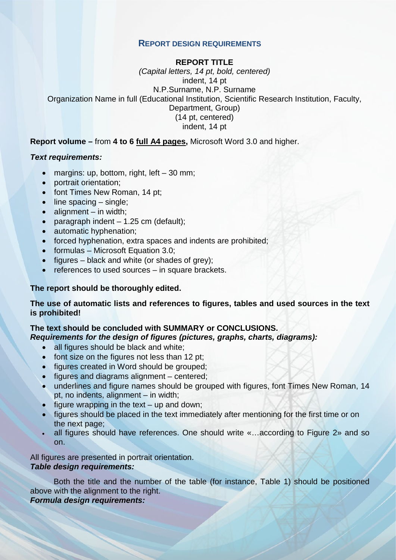### **REPORT DESIGN REQUIREMENTS**

#### **REPORT TITLE**

*(Capital letters, 14 pt, bold, centered)* indent, 14 pt N.P.Surname, N.P. Surname Organization Name in full (Educational Institution, Scientific Research Institution, Faculty, Department, Group) (14 pt, centered) indent, 14 pt

**Report volume –** from **4 to 6 full A4 pages,** Microsoft Word 3.0 and higher.

#### *Text requirements:*

- margins: up, bottom, right, left 30 mm;
- portrait orientation;
- font Times New Roman, 14 pt;
- line spacing single;
- $\bullet$  alignment in width;
- paragraph indent  $-1.25$  cm (default);
- automatic hyphenation;
- forced hyphenation, extra spaces and indents are prohibited;
- formulas Microsoft Equation 3.0;
- figures black and white (or shades of grey);
- references to used sources in square brackets.

#### **The report should be thoroughly edited.**

**The use of automatic lists and references to figures, tables and used sources in the text is prohibited!**

#### **The text should be concluded with SUMMARY or CONCLUSIONS.**

*Requirements for the design of figures (pictures, graphs, charts, diagrams):*

- all figures should be black and white;
- font size on the figures not less than 12 pt;
- figures created in Word should be grouped;
- figures and diagrams alignment centered;
- underlines and figure names should be grouped with figures, font Times New Roman, 14 pt, no indents, alignment – in width;
- figure wrapping in the text  $-$  up and down;
- figures should be placed in the text immediately after mentioning for the first time or on the next page;
- all figures should have references. One should write «…according to Figure 2» and so on.

All figures are presented in portrait orientation. *Table design requirements:*

Both the title and the number of the table (for instance, Table 1) should be positioned above with the alignment to the right.

#### *Formula design requirements:*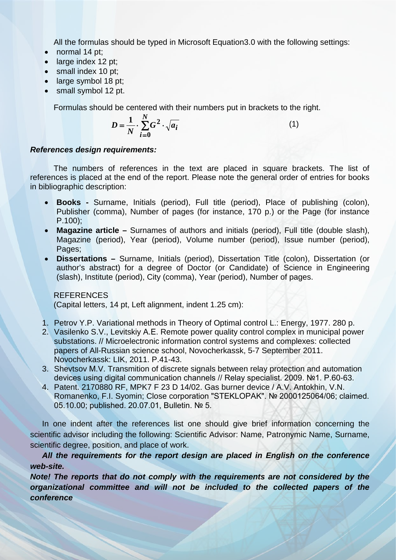All the formulas should be typed in Microsoft Equation3.0 with the following settings:

- normal 14 pt;
- large index 12 pt;
- small index 10 pt;
- large symbol 18 pt:
- small symbol 12 pt.

Formulas should be centered with their numbers put in brackets to the right.

$$
D = \frac{1}{N} \cdot \sum_{i=0}^{N} G^2 \cdot \sqrt{a_i} \tag{1}
$$

#### *References design requirements:*

The numbers of references in the text are placed in square brackets. The list of references is placed at the end of the report. Please note the general order of entries for books in bibliographic description:

- **Books -** Surname, Initials (period), Full title (period), Place of publishing (colon), Publisher (comma), Number of pages (for instance, 170 p.) or the Page (for instance P.100);
- **Magazine article –** Surnames of authors and initials (period), Full title (double slash), Magazine (period), Year (period), Volume number (period), Issue number (period), Pages;
- **Dissertations –** Surname, Initials (period), Dissertation Title (colon), Dissertation (or author's abstract) for a degree of Doctor (or Candidate) of Science in Engineering (slash), Institute (period), City (comma), Year (period), Number of pages.

**REFERENCES** (Capital letters, 14 pt, Left alignment, indent 1.25 cm):

- 1. Petrov Y.P. Variational methods in Theory of Optimal control L.: Energy, 1977. 280 p.
- 2. Vasilenko S.V., Levitskiy А.Е. Remote power quality control complex in municipal power substations. // Microelectronic information control systems and complexes: collected papers of All-Russian science school, Novocherkassk, 5-7 September 2011. Novocherkassk: LIK, 2011. P.41-43.
- 3. Shevtsov М.V. Transmition of discrete signals between relay protection and automation devices using digital communication channels // Relay specialist. 2009. №1. P.60-63.
- 4. Patent. 2170880 RF, MPK7 F 23 D 14/02. Gas burner device / А.V. Antokhin, V.N. Romanenko, F.I. Syomin; Close corporation "STEKLOPAK". № 2000125064/06; claimed. 05.10.00; published. 20.07.01, Bulletin. № 5.

In one indent after the references list one should give brief information concerning the scientific advisor including the following: Scientific Advisor: Name, Patronymic Name, Surname, scientific degree, position, and place of work.

*All the requirements for the report design are placed in English on the conference web-site.*

*Note! The reports that do not comply with the requirements are not considered by the organizational committee and will not be included to the collected papers of the conference*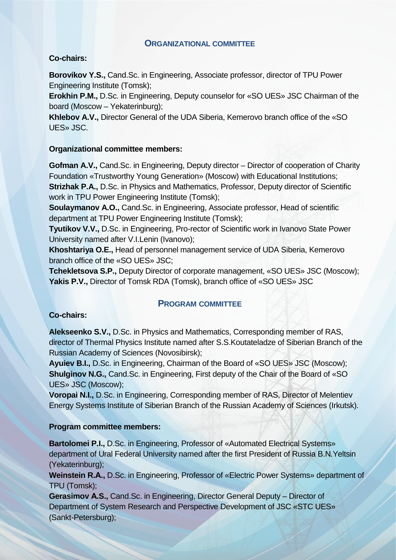## **ORGANIZATIONAL COMMITTEE**

## **Co-chairs:**

**Borovikov Y.S.,** Cand.Sc. in Engineering, Associate professor, director of TPU Power Engineering Institute (Tomsk);

**Erokhin P.M.,** D.Sc. in Engineering, Deputy counselor for «SO UES» JSC Chairman of the board (Moscow – Yekaterinburg);

**Khlebov A.V.,** Director General of the UDA Siberia, Kemerovo branch office of the «SO UES» JSC.

## **Organizational committee members:**

**Gofman A.V.,** Cand.Sc. in Engineering, Deputy director – Director of cooperation of Charity Foundation «Trustworthy Young Generation» (Moscow) with Educational Institutions; **Strizhak P.A.,** D.Sc. in Physics and Mathematics, Professor, Deputy director of Scientific work in TPU Power Engineering Institute (Tomsk);

**Soulaymanov A.O.,** Cand.Sc. in Engineering, Associate professor, Head of scientific department at TPU Power Engineering Institute (Tomsk);

**Tyutikov V.V.,** D.Sc. in Engineering, Pro-rector of Scientific work in Ivanovo State Power University named after V.I.Lenin (Ivanovo);

**Khoshtariya O.E.,** Head of personnel management service of UDA Siberia, Kemerovo branch office of the «SO UES» JSC;

**Tchekletsova S.P.,** Deputy Director of corporate management, «SO UES» JSC (Moscow); **Yakis P.V.,** Director of Tomsk RDA (Tomsk), branch office of «SO UES» JSC

## **PROGRAM COMMITTEE**

## **Co-chairs:**

**Alekseenko S.V.,** D.Sc. in Physics and Mathematics, Corresponding member of RAS, director of Thermal Physics Institute named after S.S.Koutateladze of Siberian Branch of the Russian Academy of Sciences (Novosibirsk);

**Ayuiev B.I.,** D.Sc. in Engineering, Chairman of the Board of «SO UES» JSC (Moscow); **Shulginov N.G.,** Cand.Sc. in Engineering, First deputy of the Chair of the Board of «SO UES» JSC (Moscow);

**Voropai N.I.,** D.Sc. in Engineering, Corresponding member of RAS, Director of Melentiev Energy Systems Institute of Siberian Branch of the Russian Academy of Sciences (Irkutsk).

## **Program committee members:**

**Bartolomei P.I., D.Sc. in Engineering, Professor of «Automated Electrical Systems»** department of Ural Federal University named after the first President of Russia B.N.Yeltsin (Yekaterinburg);

**Weinstein R.А.,** D.Sc. in Engineering, Professor of «Electric Power Systems» department of TPU (Tomsk);

**Gerasimov А.S.,** Cand.Sc. in Engineering, Director General Deputy – Director of Department of System Research and Perspective Development of JSC «STC UES» (Sankt-Petersburg);